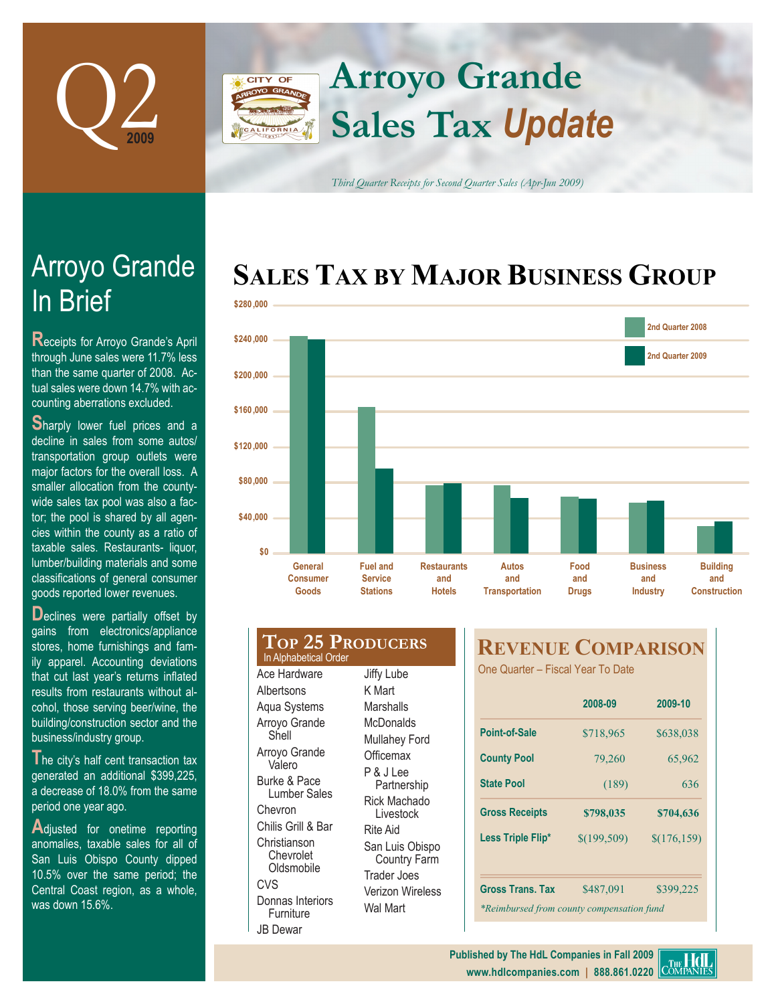

## **Arroyo Grande** CITY OF **Sales Tax** *Update* FORNIA

*Third Quarter Receipts for Second Quarter Sales (Apr-Jun 2009)*

## **SALES TAX BY MAJOR BUSINESS GROUP**



| Consumer<br>Goods                                | Service<br><b>Stations</b>        | and<br><b>Hotels</b> | aı<br><b>Transp</b> |
|--------------------------------------------------|-----------------------------------|----------------------|---------------------|
| <b>TOP 25 PRODUCERS</b><br>In Alphabetical Order |                                   |                      | <b>REX</b>          |
| Ace Hardware                                     | Jiffy Lube                        |                      | One Qu              |
| Albertsons                                       | K Mart                            |                      |                     |
| Aqua Systems                                     | Marshalls                         |                      |                     |
| Arroyo Grande<br>Shell                           | <b>McDonalds</b><br>Mullahey Ford |                      | Point-o             |
| Arroyo Grande<br>Valero                          | Officemax                         |                      | <b>County</b>       |
| Burke & Pace<br>Lumber Sales                     | P & J Lee<br>Partnership          |                      | <b>State P</b>      |
| Chevron                                          | <b>Rick Machado</b><br>Livestock  |                      | <b>Gross</b>        |
| Chilis Grill & Bar                               | Rite Aid                          |                      |                     |

San Luis Obispo Country Farm Trader Joes Verizon Wireless Wal Mart

**Christianson** Chevrolet **Oldsmobile** 

Donnas Interiors **Furniture** JB Dewar

 $C<sub>N</sub>$ 

## **REVENUE COMPARISON**

Jarter – Fiscal Year To Date

|                                           | 2008-09      | 2009-10      |
|-------------------------------------------|--------------|--------------|
| <b>Point-of-Sale</b>                      | \$718,965    | \$638,038    |
| <b>County Pool</b>                        | 79,260       | 65,962       |
| <b>State Pool</b>                         | (189)        | 636          |
| <b>Gross Receipts</b>                     | \$798,035    | \$704,636    |
| Less Triple Flip*                         | \$(199, 509) | \$(176, 159) |
| <b>Gross Trans. Tax</b>                   | \$487,091    | \$399,225    |
| *Reimbursed from county compensation fund |              |              |

# In Brief Arroyo Grande

**Receipts for Arroyo Grande's April** through June sales were 11.7% less than the same quarter of 2008. Actual sales were down 14.7% with accounting aberrations excluded.

**Sharply lower fuel prices and a** decline in sales from some autos/ transportation group outlets were major factors for the overall loss. A smaller allocation from the countywide sales tax pool was also a factor; the pool is shared by all agencies within the county as a ratio of taxable sales. Restaurants- liquor, lumber/building materials and some classifications of general consumer goods reported lower revenues.

**D**eclines were partially offset by gains from electronics/appliance stores, home furnishings and family apparel. Accounting deviations that cut last year's returns inflated results from restaurants without alcohol, those serving beer/wine, the building/construction sector and the business/industry group.

**T**he city's half cent transaction tax generated an additional \$399,225, a decrease of 18.0% from the same period one year ago.

**A**djusted for onetime reporting anomalies, taxable sales for all of San Luis Obispo County dipped 10.5% over the same period; the Central Coast region, as a whole, was down 15.6%.